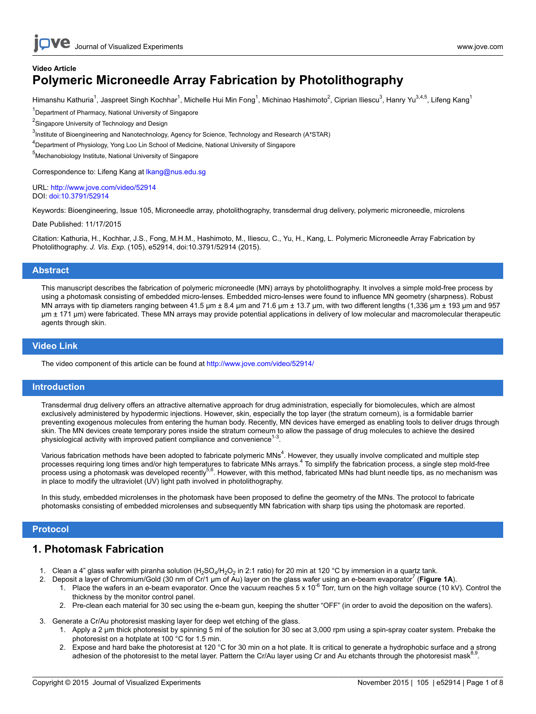# **Video Article Polymeric Microneedle Array Fabrication by Photolithography**

Himanshu Kathuria<sup>1</sup>, Jaspreet Singh Kochhar<sup>1</sup>, Michelle Hui Min Fong<sup>1</sup>, Michinao Hashimoto<sup>2</sup>, Ciprian Iliescu<sup>3</sup>, Hanry Yu<sup>3,4,5</sup>, Lifeng Kang<sup>1</sup>

<sup>1</sup>Department of Pharmacy, National University of Singapore

<sup>2</sup>Singapore University of Technology and Design

 $^3$ Institute of Bioengineering and Nanotechnology, Agency for Science, Technology and Research (A\*STAR)

<sup>4</sup>Department of Physiology, Yong Loo Lin School of Medicine, National University of Singapore

<sup>5</sup>Mechanobiology Institute, National University of Singapore

Correspondence to: Lifeng Kang at [lkang@nus.edu.sg](mailto:lkang@nus.edu.sg)

URL:<http://www.jove.com/video/52914> DOI: [doi:10.3791/52914](http://dx.doi.org/10.3791/52914)

Keywords: Bioengineering, Issue 105, Microneedle array, photolithography, transdermal drug delivery, polymeric microneedle, microlens

Date Published: 11/17/2015

Citation: Kathuria, H., Kochhar, J.S., Fong, M.H.M., Hashimoto, M., Iliescu, C., Yu, H., Kang, L. Polymeric Microneedle Array Fabrication by Photolithography. *J. Vis. Exp.* (105), e52914, doi:10.3791/52914 (2015).

### **Abstract**

This manuscript describes the fabrication of polymeric microneedle (MN) arrays by photolithography. It involves a simple mold-free process by using a photomask consisting of embedded micro-lenses. Embedded micro-lenses were found to influence MN geometry (sharpness). Robust MN arrays with tip diameters ranging between 41.5  $\mu$ m ± 8.4  $\mu$ m and 71.6  $\mu$ m ± 13.7  $\mu$ m, with two different lengths (1,336  $\mu$ m ± 193  $\mu$ m and 957 µm ± 171 µm) were fabricated. These MN arrays may provide potential applications in delivery of low molecular and macromolecular therapeutic agents through skin.

### **Video Link**

The video component of this article can be found at <http://www.jove.com/video/52914/>

### **Introduction**

Transdermal drug delivery offers an attractive alternative approach for drug administration, especially for biomolecules, which are almost exclusively administered by hypodermic injections. However, skin, especially the top layer (the stratum corneum), is a formidable barrier preventing exogenous molecules from entering the human body. Recently, MN devices have emerged as enabling tools to deliver drugs through skin. The MN devices create temporary pores inside the stratum corneum to allow the passage of drug molecules to achieve the desired physiological activity with improved patient compliance and convenience $<sup>1</sup>$ </sup> .

Various fabrication methods have been adopted to fabricate polymeric MNs<sup>4</sup>. However, they usually involve complicated and multiple step processes requiring long times and/or high temperatures to fabricate MNs arrays.<sup>4</sup> To simplify the fabrication process, a single step mold-free process using a photomask was developed recently<sup>5,6</sup>. However, with this method, fabricated MNs had blunt needle tips, as no mechanism was in place to modify the ultraviolet (UV) light path involved in photolithography.

In this study, embedded microlenses in the photomask have been proposed to define the geometry of the MNs. The protocol to fabricate photomasks consisting of embedded microlenses and subsequently MN fabrication with sharp tips using the photomask are reported.

### **Protocol**

### **1. Photomask Fabrication**

- 1. Clean a 4" glass wafer with piranha solution (H<sub>2</sub>SO<sub>4</sub>/H<sub>2</sub>O<sub>2</sub> in 2:1 ratio) for 20 min at 120 °C by immersion in a quartz tank.
- 2. Deposit a layer of Chromium/Gold (30 nm of Cr/1 µm of Au) layer on the glass wafer using an e-beam evaporator<sup>7</sup> (Figure 1A).
	- 1. Place the wafers in an e-beam evaporator. Once the vacuum reaches  $5 \times 10^{-6}$  Torr, turn on the high voltage source (10 kV). Control the thickness by the monitor control panel.
	- 2. Pre-clean each material for 30 sec using the e-beam gun, keeping the shutter "OFF" (in order to avoid the deposition on the wafers).
- 3. Generate a Cr/Au photoresist masking layer for deep wet etching of the glass.
	- 1. Apply a 2 µm thick photoresist by spinning 5 ml of the solution for 30 sec at 3,000 rpm using a spin-spray coater system. Prebake the photoresist on a hotplate at 100 °C for 1.5 min.
	- 2. Expose and hard bake the photoresist at 120 °C for 30 min on a hot plate. It is critical to generate a hydrophobic surface and a strong adhesion of the photoresist to the metal layer. Pattern the Cr/Au layer using Cr and Au etchants through the photoresist mask<sup>8,9</sup> .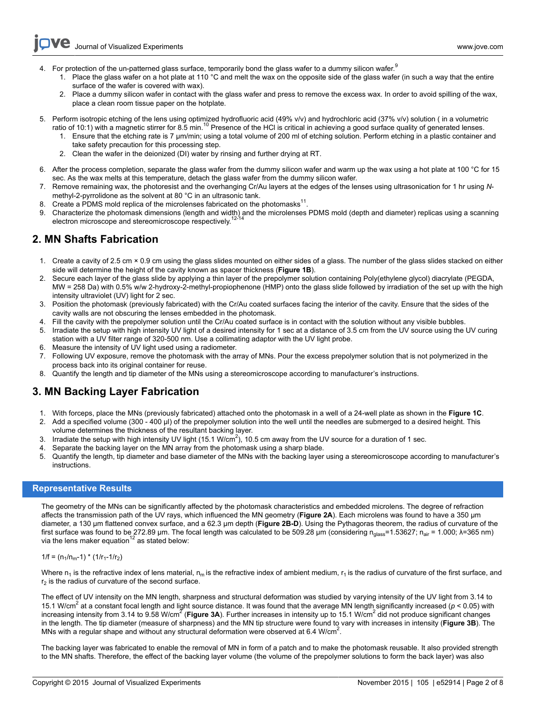**Ve** Journal of Visualized [Experiments](http://www.jove.com) [www.jove.com](http://www.jove.com)

- 4. For protection of the un-patterned glass surface, temporarily bond the glass wafer to a dummy silicon wafer.<sup>9</sup>
	- 1. Place the glass wafer on a hot plate at 110 °C and melt the wax on the opposite side of the glass wafer (in such a way that the entire surface of the wafer is covered with wax).
	- 2. Place a dummy silicon wafer in contact with the glass wafer and press to remove the excess wax. In order to avoid spilling of the wax, place a clean room tissue paper on the hotplate.
- 5. Perform isotropic etching of the lens using optimized hydrofluoric acid (49% v/v) and hydrochloric acid (37% v/v) solution ( in a volumetric ratio of 10:1) with a magnetic stirrer for 8.5 min.<sup>10</sup> Presence of the HCl is critical in achieving a good surface quality of generated lenses.
	- 1. Ensure that the etching rate is 7 µm/min; using a total volume of 200 ml of etching solution. Perform etching in a plastic container and take safety precaution for this processing step.
	- 2. Clean the wafer in the deionized (DI) water by rinsing and further drying at RT.
- 6. After the process completion, separate the glass wafer from the dummy silicon wafer and warm up the wax using a hot plate at 100 °C for 15 sec. As the wax melts at this temperature, detach the glass wafer from the dummy silicon wafer.
- 7. Remove remaining wax, the photoresist and the overhanging Cr/Au layers at the edges of the lenses using ultrasonication for 1 hr using *N*methyl-2-pyrrolidone as the solvent at 80 °C in an ultrasonic tank.
- 8. Create a PDMS mold replica of the microlenses fabricated on the photomasks $^{11}$ .
- 9. Characterize the photomask dimensions (length and width) and the microlenses PDMS mold (depth and diameter) replicas using a scanning electron microscope and stereomicroscope respectively.<sup>12-14</sup>

### **2. MN Shafts Fabrication**

- 1. Create a cavity of 2.5 cm × 0.9 cm using the glass slides mounted on either sides of a glass. The number of the glass slides stacked on either side will determine the height of the cavity known as spacer thickness (**Figure 1B**).
- 2. Secure each layer of the glass slide by applying a thin layer of the prepolymer solution containing Poly(ethylene glycol) diacrylate (PEGDA, MW = 258 Da) with 0.5% w/w 2-hydroxy-2-methyl-propiophenone (HMP) onto the glass slide followed by irradiation of the set up with the high intensity ultraviolet (UV) light for 2 sec.
- 3. Position the photomask (previously fabricated) with the Cr/Au coated surfaces facing the interior of the cavity. Ensure that the sides of the cavity walls are not obscuring the lenses embedded in the photomask.
- 4. Fill the cavity with the prepolymer solution until the Cr/Au coated surface is in contact with the solution without any visible bubbles.
- 5. Irradiate the setup with high intensity UV light of a desired intensity for 1 sec at a distance of 3.5 cm from the UV source using the UV curing station with a UV filter range of 320-500 nm. Use a collimating adaptor with the UV light probe.
- 6. Measure the intensity of UV light used using a radiometer.
- 7. Following UV exposure, remove the photomask with the array of MNs. Pour the excess prepolymer solution that is not polymerized in the process back into its original container for reuse.
- 8. Quantify the length and tip diameter of the MNs using a stereomicroscope according to manufacturer's instructions.

## **3. MN Backing Layer Fabrication**

- 1. With forceps, place the MNs (previously fabricated) attached onto the photomask in a well of a 24-well plate as shown in the **Figure 1C**.
- 2. Add a specified volume (300 400 µl) of the prepolymer solution into the well until the needles are submerged to a desired height. This volume determines the thickness of the resultant backing layer.
- 3. Irradiate the setup with high intensity UV light (15.1 W/cm<sup>2</sup>), 10.5 cm away from the UV source for a duration of 1 sec.
- 4. Separate the backing layer on the MN array from the photomask using a sharp blade.
- 5. Quantify the length, tip diameter and base diameter of the MNs with the backing layer using a stereomicroscope according to manufacturer's instructions.

### **Representative Results**

The geometry of the MNs can be significantly affected by the photomask characteristics and embedded microlens. The degree of refraction affects the transmission path of the UV rays, which influenced the MN geometry (**Figure 2A**). Each microlens was found to have a 350 µm diameter, a 130 µm flattened convex surface, and a 62.3 µm depth (**Figure 2B-D**). Using the Pythagoras theorem, the radius of curvature of the first surface was found to be 272.89 µm. The focal length was calculated to be 509.28 µm (considering n<sub>alass</sub>=1.53627; n<sub>air</sub> = 1.000;  $\lambda$ =365 nm) via the lens maker equation<sup>12</sup> as stated below:

#### $1/f = (n_1/n_m-1) * (1/r_1-1/r_2)$

Where  $n_1$  is the refractive index of lens material,  $n_m$  is the refractive index of ambient medium,  $r_1$  is the radius of curvature of the first surface, and  $r<sub>2</sub>$  is the radius of curvature of the second surface.

The effect of UV intensity on the MN length, sharpness and structural deformation was studied by varying intensity of the UV light from 3.14 to 15.1 W/cm<sup>2</sup> at a constant focal length and light source distance. It was found that the average MN length significantly increased (*p* < 0.05) with increasing intensity from 3.14 to 9.58 W/cm<sup>2</sup> (Figure 3A). Further increases in intensity up to 15.1 W/cm<sup>2</sup> did not produce significant changes in the length. The tip diameter (measure of sharpness) and the MN tip structure were found to vary with increases in intensity (**Figure 3B**). The MNs with a regular shape and without any structural deformation were observed at 6.4 W/cm<sup>2</sup>.

The backing layer was fabricated to enable the removal of MN in form of a patch and to make the photomask reusable. It also provided strength to the MN shafts. Therefore, the effect of the backing layer volume (the volume of the prepolymer solutions to form the back layer) was also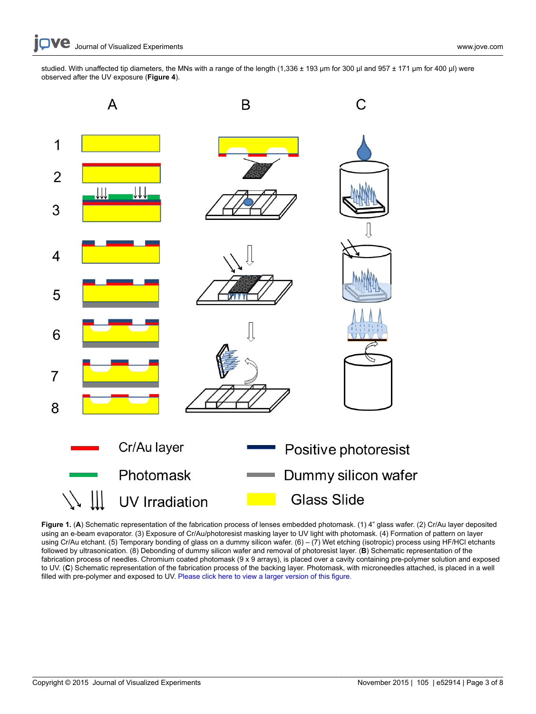studied. With unaffected tip diameters, the MNs with a range of the length (1,336 ± 193 µm for 300 µl and 957 ± 171 µm for 400 µl) were observed after the UV exposure (**Figure 4**).



Figure 1. (A) Schematic representation of the fabrication process of lenses embedded photomask. (1) 4" glass wafer. (2) Cr/Au layer deposited using an e-beam evaporator. (3) Exposure of Cr/Au/photoresist masking layer to UV light with photomask. (4) Formation of pattern on layer using Cr/Au etchant. (5) Temporary bonding of glass on a dummy silicon wafer. (6) – (7) Wet etching (isotropic) process using HF/HCl etchants followed by ultrasonication. (8) Debonding of dummy silicon wafer and removal of photoresist layer. (**B**) Schematic representation of the fabrication process of needles. Chromium coated photomask (9 x 9 arrays), is placed over a cavity containing pre-polymer solution and exposed to UV. (**C**) Schematic representation of the fabrication process of the backing layer. Photomask, with microneedles attached, is placed in a well filled with pre-polymer and exposed to UV. [Please click here to view a larger version of this figure.](https://www.jove.com/files/ftp_upload/52914/52914fig1large.jpg)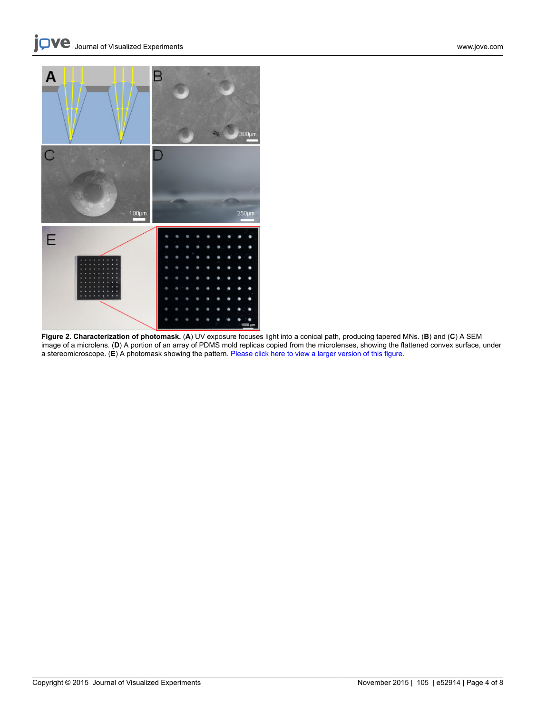

**Figure 2. Characterization of photomask.** (**A**) UV exposure focuses light into a conical path, producing tapered MNs. (**B**) and (**C**) A SEM image of a microlens. (**D**) A portion of an array of PDMS mold replicas copied from the microlenses, showing the flattened convex surface, under a stereomicroscope. (**E**) A photomask showing the pattern. [Please click here to view a larger version of this figure.](https://www.jove.com/files/ftp_upload/52914/52914fig2large.jpg)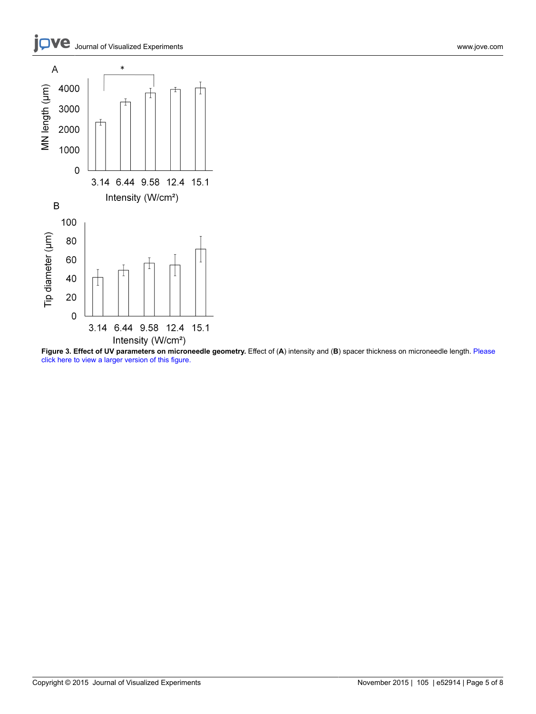



**Figure 3. Effect of UV parameters on microneedle geometry.** Effect of (**A**) intensity and (**B**) spacer thickness on microneedle length. [Please](https://www.jove.com/files/ftp_upload/52914/52914fig3large.jpg) [click here to view a larger version of this figure.](https://www.jove.com/files/ftp_upload/52914/52914fig3large.jpg)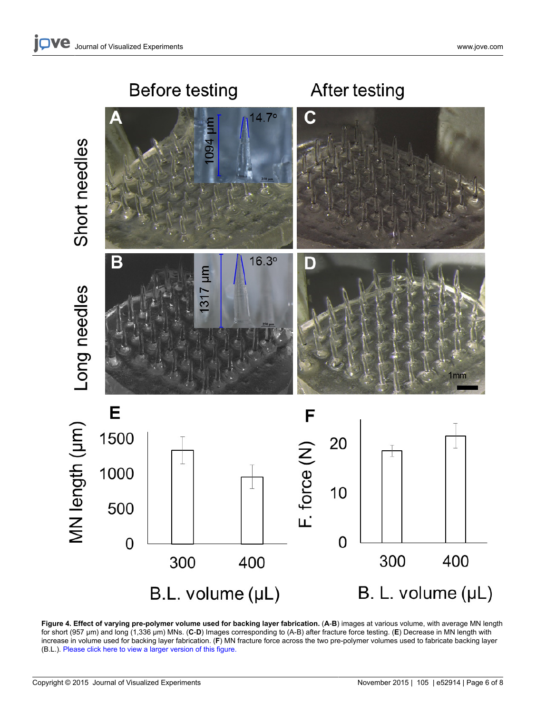

Figure 4. Effect of varying pre-polymer volume used for backing layer fabrication. (A-B) images at various volume, with average MN length for short (957 µm) and long (1,336 µm) MNs. (**C**-**D**) Images corresponding to (A-B) after fracture force testing. (**E**) Decrease in MN length with increase in volume used for backing layer fabrication. (**F**) MN fracture force across the two pre-polymer volumes used to fabricate backing layer (B.L.). [Please click here to view a larger version of this figure.](https://www.jove.com/files/ftp_upload/52914/52914fig4large.jpg)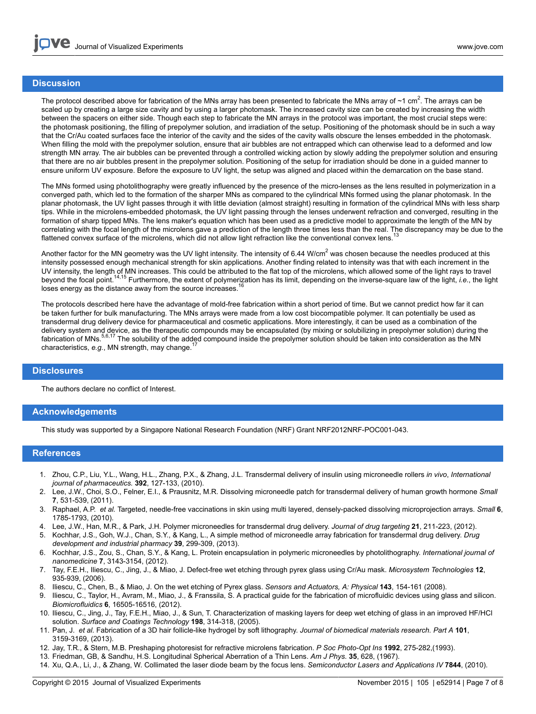### **Discussion**

The protocol described above for fabrication of the MNs array has been presented to fabricate the MNs array of  $\sim$ 1 cm<sup>2</sup>. The arrays can be scaled up by creating a large size cavity and by using a larger photomask. The increased cavity size can be created by increasing the width between the spacers on either side. Though each step to fabricate the MN arrays in the protocol was important, the most crucial steps were: the photomask positioning, the filling of prepolymer solution, and irradiation of the setup. Positioning of the photomask should be in such a way that the Cr/Au coated surfaces face the interior of the cavity and the sides of the cavity walls obscure the lenses embedded in the photomask. When filling the mold with the prepolymer solution, ensure that air bubbles are not entrapped which can otherwise lead to a deformed and low strength MN array. The air bubbles can be prevented through a controlled wicking action by slowly adding the prepolymer solution and ensuring that there are no air bubbles present in the prepolymer solution. Positioning of the setup for irradiation should be done in a guided manner to ensure uniform UV exposure. Before the exposure to UV light, the setup was aligned and placed within the demarcation on the base stand.

The MNs formed using photolithography were greatly influenced by the presence of the micro-lenses as the lens resulted in polymerization in a converged path, which led to the formation of the sharper MNs as compared to the cylindrical MNs formed using the planar photomask. In the planar photomask, the UV light passes through it with little deviation (almost straight) resulting in formation of the cylindrical MNs with less sharp tips. While in the microlens-embedded photomask, the UV light passing through the lenses underwent refraction and converged, resulting in the formation of sharp tipped MNs. The lens maker's equation which has been used as a predictive model to approximate the length of the MN by correlating with the focal length of the microlens gave a prediction of the length three times less than the real. The discrepancy may be due to the flattened convex surface of the microlens, which did not allow light refraction like the conventional convex lens.

Another factor for the MN geometry was the UV light intensity. The intensity of 6.44 W/cm<sup>2</sup> was chosen because the needles produced at this intensity possessed enough mechanical strength for skin applications. Another finding related to intensity was that with each increment in the UV intensity, the length of MN increases. This could be attributed to the flat top of the microlens, which allowed some of the light rays to travel beyond the focal point.14,15 Furthermore, the extent of polymerization has its limit, depending on the inverse-square law of the light, *i.e.*, the light loses energy as the distance away from the source increases.<sup>16</sup>

The protocols described here have the advantage of mold-free fabrication within a short period of time. But we cannot predict how far it can be taken further for bulk manufacturing. The MNs arrays were made from a low cost biocompatible polymer. It can potentially be used as transdermal drug delivery device for pharmaceutical and cosmetic applications. More interestingly, it can be used as a combination of the delivery system and device, as the therapeutic compounds may be encapsulated (by mixing or solubilizing in prepolymer solution) during the fabrication of MNs.5,6,17 The solubility of the added compound inside the prepolymer solution should be taken into consideration as the MN characteristics, e.g., MN strength, may change.

#### **Disclosures**

The authors declare no conflict of Interest.

### **Acknowledgements**

This study was supported by a Singapore National Research Foundation (NRF) Grant NRF2012NRF-POC001-043.

#### **References**

- 1. Zhou, C.P., Liu, Y.L., Wang, H.L., Zhang, P.X., & Zhang, J.L. Transdermal delivery of insulin using microneedle rollers *in vivo*, *International journal of pharmaceutics.* **392**, 127-133, (2010).
- 2. Lee, J.W., Choi, S.O., Felner, E.I., & Prausnitz, M.R. Dissolving microneedle patch for transdermal delivery of human growth hormone *Small* **7**, 531-539, (2011).
- 3. Raphael, A.P. *et al.* Targeted, needle-free vaccinations in skin using multi layered, densely-packed dissolving microprojection arrays. *Small* **6**, 1785-1793, (2010).
- 4. Lee, J.W., Han, M.R., & Park, J.H. Polymer microneedles for transdermal drug delivery. *Journal of drug targeting* **21**, 211-223, (2012).
- 5. Kochhar, J.S., Goh, W.J., Chan, S.Y., & Kang, L., A simple method of microneedle array fabrication for transdermal drug delivery. *Drug development and industrial pharmacy* **39**, 299-309, (2013).
- 6. Kochhar, J.S., Zou, S., Chan, S.Y., & Kang, L. Protein encapsulation in polymeric microneedles by photolithography. *International journal of nanomedicine* **7**, 3143-3154, (2012).
- 7. Tay, F.E.H., Iliescu, C., Jing, J., & Miao, J. Defect-free wet etching through pyrex glass using Cr/Au mask. *Microsystem Technologies* **12**, 935-939, (2006).
- 8. Iliescu, C., Chen, B., & Miao, J. On the wet etching of Pyrex glass. *Sensors and Actuators, A: Physical* **143**, 154-161 (2008).
- 9. Iliescu, C., Taylor, H., Avram, M., Miao, J., & Franssila, S. A practical guide for the fabrication of microfluidic devices using glass and silicon. *Biomicrofluidics* **6**, 16505-16516, (2012).
- 10. Iliescu, C., Jing, J., Tay, F.E.H., Miao, J., & Sun, T. Characterization of masking layers for deep wet etching of glass in an improved HF/HCl solution. *Surface and Coatings Technology* **198**, 314-318, (2005).
- 11. Pan, J. *et al.* Fabrication of a 3D hair follicle-like hydrogel by soft lithography. *Journal of biomedical materials research. Part A* **101**, 3159-3169, (2013).
- 12. Jay, T.R., & Stern, M.B. Preshaping photoresist for refractive microlens fabrication. *P Soc Photo-Opt Ins* **1992**, 275-282,(1993).
- 13. Friedman, GB, & Sandhu, H.S. Longitudinal Spherical Aberration of a Thin Lens. *Am J Phys.* **35**, 628, (1967).
- 14. Xu, Q.A., Li, J., & Zhang, W. Collimated the laser diode beam by the focus lens. *Semiconductor Lasers and Applications IV* **7844**, (2010).